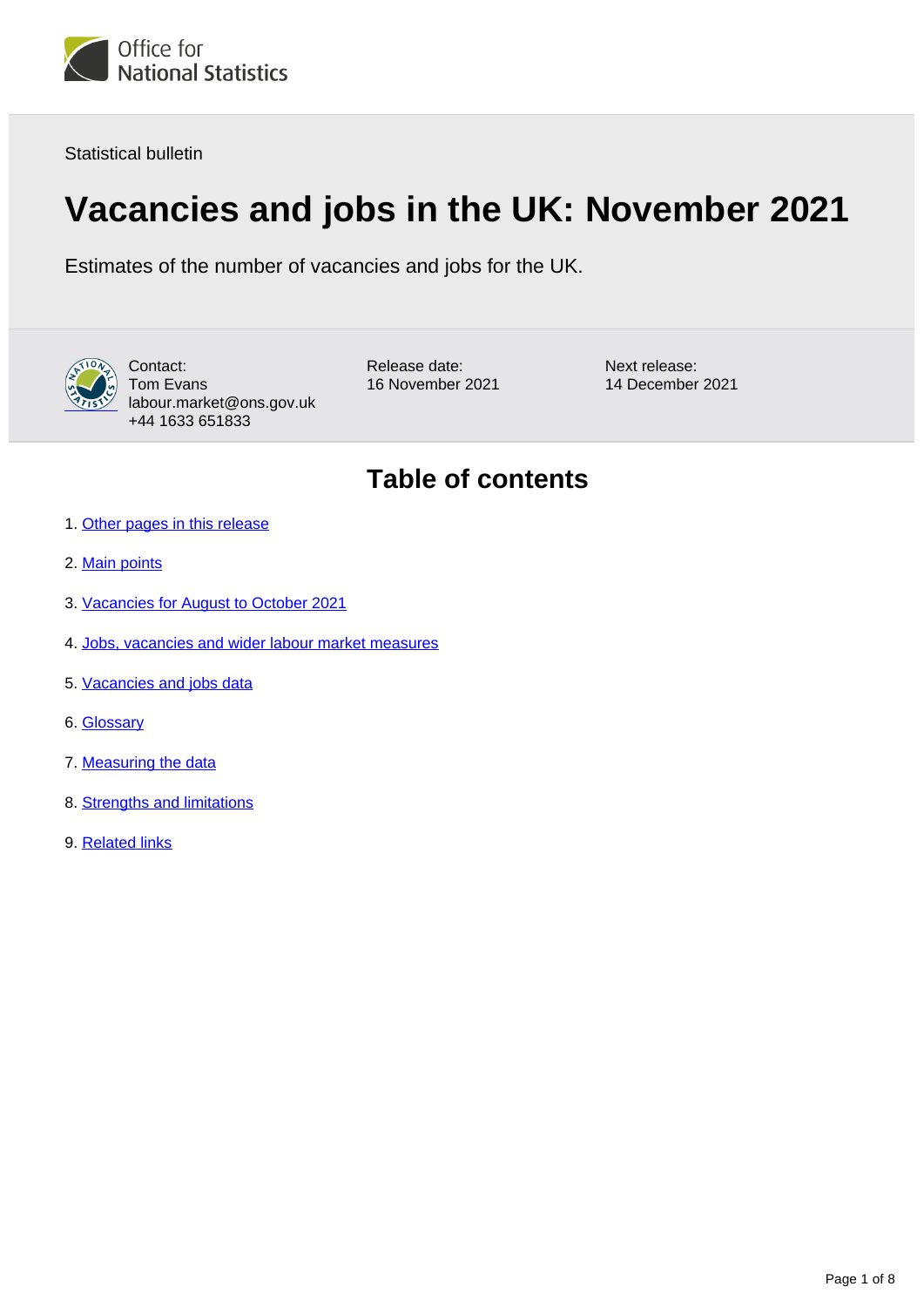

Statistical bulletin

# **Vacancies and jobs in the UK: November 2021**

Estimates of the number of vacancies and jobs for the UK.



Contact: Tom Evans labour.market@ons.gov.uk +44 1633 651833

Release date: 16 November 2021 Next release: 14 December 2021

## **Table of contents**

- 1. [Other pages in this release](#page-1-0)
- 2. [Main points](#page-1-1)
- 3. [Vacancies for August to October 2021](#page-2-0)
- 4. [Jobs, vacancies and wider labour market measures](#page-5-0)
- 5. [Vacancies and jobs data](#page-5-1)
- 6. [Glossary](#page-5-2)
- 7. [Measuring the data](#page-6-0)
- 8. [Strengths and limitations](#page-7-0)
- 9. [Related links](#page-7-1)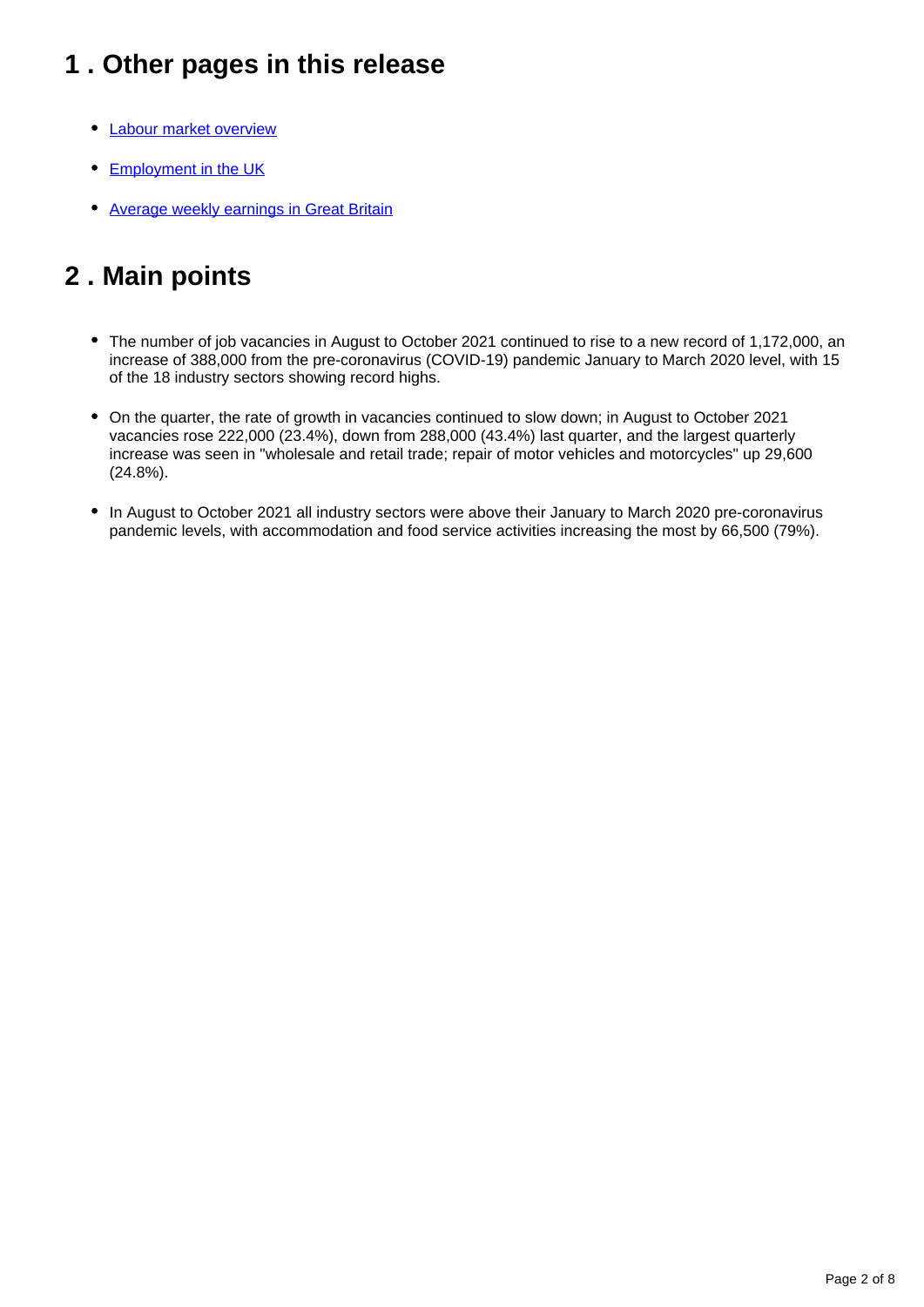## <span id="page-1-0"></span>**1 . Other pages in this release**

- [Labour market overview](https://www.ons.gov.uk/employmentandlabourmarket/peopleinwork/employmentandemployeetypes/bulletins/uklabourmarket/november2021)
- [Employment in the UK](https://www.ons.gov.uk/employmentandlabourmarket/peopleinwork/employmentandemployeetypes/bulletins/employmentintheuk/latest)
- [Average weekly earnings in Great Britain](https://www.ons.gov.uk/employmentandlabourmarket/peopleinwork/employmentandemployeetypes/bulletins/averageweeklyearningsingreatbritain/latest)

## <span id="page-1-1"></span>**2 . Main points**

- The number of job vacancies in August to October 2021 continued to rise to a new record of 1,172,000, an increase of 388,000 from the pre-coronavirus (COVID-19) pandemic January to March 2020 level, with 15 of the 18 industry sectors showing record highs.
- On the quarter, the rate of growth in vacancies continued to slow down; in August to October 2021 vacancies rose 222,000 (23.4%), down from 288,000 (43.4%) last quarter, and the largest quarterly increase was seen in "wholesale and retail trade; repair of motor vehicles and motorcycles" up 29,600 (24.8%).
- In August to October 2021 all industry sectors were above their January to March 2020 pre-coronavirus pandemic levels, with accommodation and food service activities increasing the most by 66,500 (79%).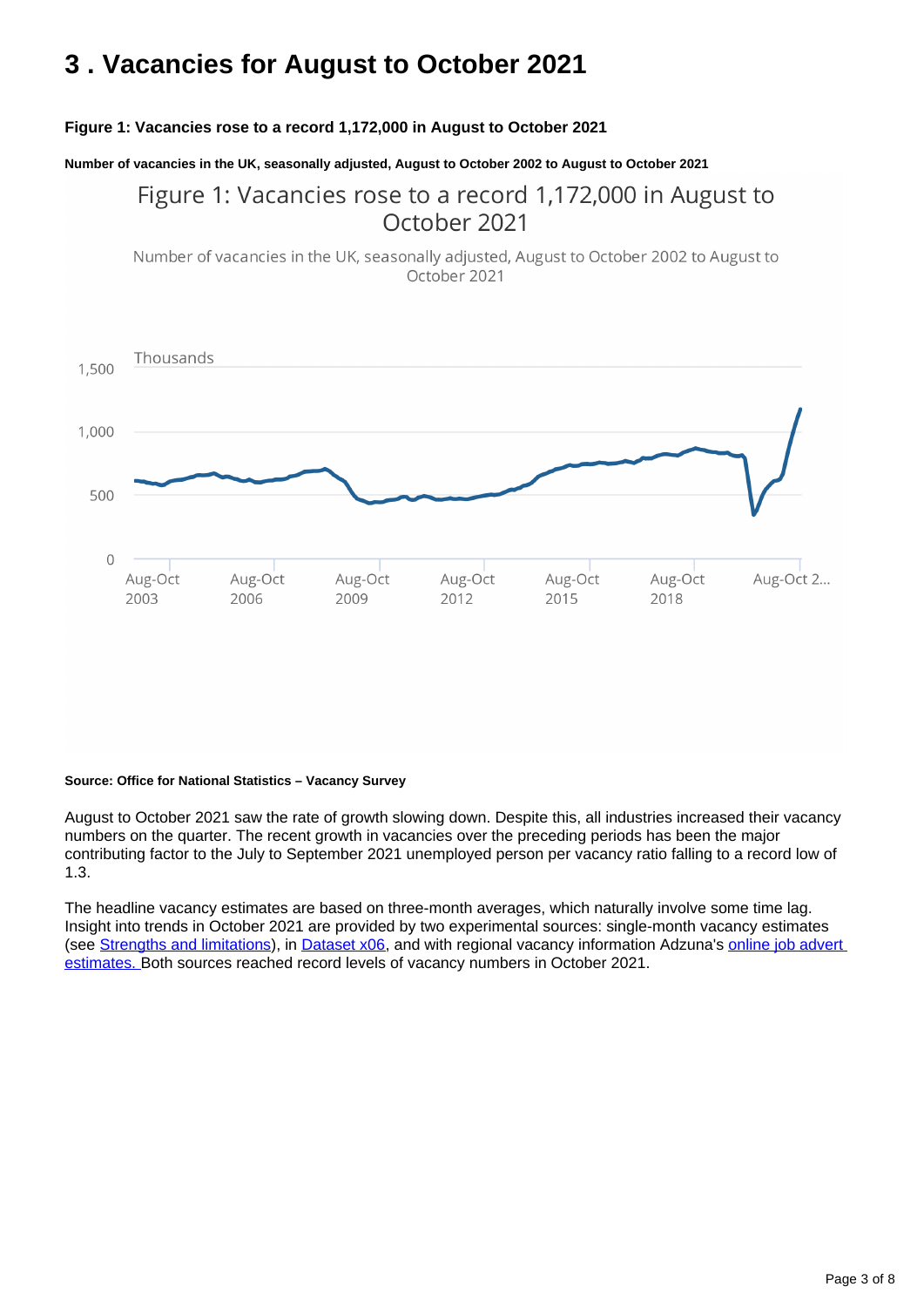## <span id="page-2-0"></span>**3 . Vacancies for August to October 2021**

### **Figure 1: Vacancies rose to a record 1,172,000 in August to October 2021**

**Number of vacancies in the UK, seasonally adjusted, August to October 2002 to August to October 2021**

## Figure 1: Vacancies rose to a record 1,172,000 in August to October 2021

Number of vacancies in the UK, seasonally adjusted, August to October 2002 to August to October 2021



#### **Source: Office for National Statistics – Vacancy Survey**

August to October 2021 saw the rate of growth slowing down. Despite this, all industries increased their vacancy numbers on the quarter. The recent growth in vacancies over the preceding periods has been the major contributing factor to the July to September 2021 unemployed person per vacancy ratio falling to a record low of 1.3.

The headline vacancy estimates are based on three-month averages, which naturally involve some time lag. Insight into trends in October 2021 are provided by two experimental sources: single-month vacancy estimates (see [Strengths and limitations\)](https://www.ons.gov.uk/employmentandlabourmarket/peopleinwork/employmentandemployeetypes/bulletins/jobsandvacanciesintheuk/march2021#strengths-and-limitations), in [Dataset x06](https://www.ons.gov.uk/employmentandlabourmarket/peoplenotinwork/unemployment/datasets/x06singlemonthvacanciesestimatesnotdesignatedasnationalstatistics), and with regional vacancy information Adzuna's [online job advert](https://www.ons.gov.uk/economy/economicoutputandproductivity/output/datasets/onlinejobadvertestimates)  [estimates. B](https://www.ons.gov.uk/economy/economicoutputandproductivity/output/datasets/onlinejobadvertestimates)oth sources reached record levels of vacancy numbers in October 2021.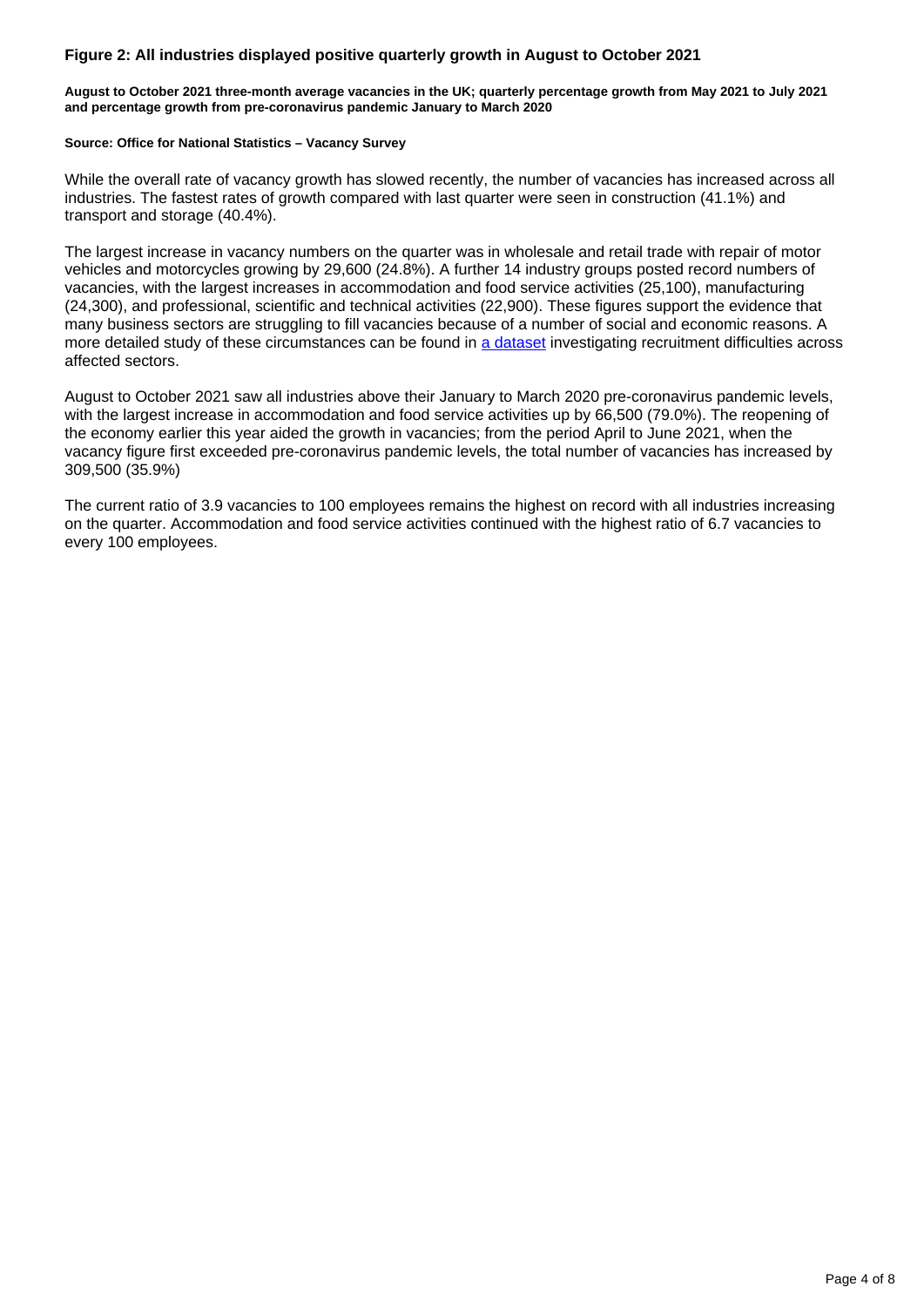### **Figure 2: All industries displayed positive quarterly growth in August to October 2021**

**August to October 2021 three-month average vacancies in the UK; quarterly percentage growth from May 2021 to July 2021 and percentage growth from pre-coronavirus pandemic January to March 2020**

#### **Source: Office for National Statistics – Vacancy Survey**

While the overall rate of vacancy growth has slowed recently, the number of vacancies has increased across all industries. The fastest rates of growth compared with last quarter were seen in construction (41.1%) and transport and storage (40.4%).

The largest increase in vacancy numbers on the quarter was in wholesale and retail trade with repair of motor vehicles and motorcycles growing by 29,600 (24.8%). A further 14 industry groups posted record numbers of vacancies, with the largest increases in accommodation and food service activities (25,100), manufacturing (24,300), and professional, scientific and technical activities (22,900). These figures support the evidence that many business sectors are struggling to fill vacancies because of a number of social and economic reasons. A more detailed study of these circumstances can be found in [a dataset](https://www.ons.gov.uk/economy/economicoutputandproductivity/output/datasets/businessinsightsandimpactontheukeconomy) investigating recruitment difficulties across affected sectors.

August to October 2021 saw all industries above their January to March 2020 pre-coronavirus pandemic levels, with the largest increase in accommodation and food service activities up by 66,500 (79.0%). The reopening of the economy earlier this year aided the growth in vacancies; from the period April to June 2021, when the vacancy figure first exceeded pre-coronavirus pandemic levels, the total number of vacancies has increased by 309,500 (35.9%)

The current ratio of 3.9 vacancies to 100 employees remains the highest on record with all industries increasing on the quarter. Accommodation and food service activities continued with the highest ratio of 6.7 vacancies to every 100 employees.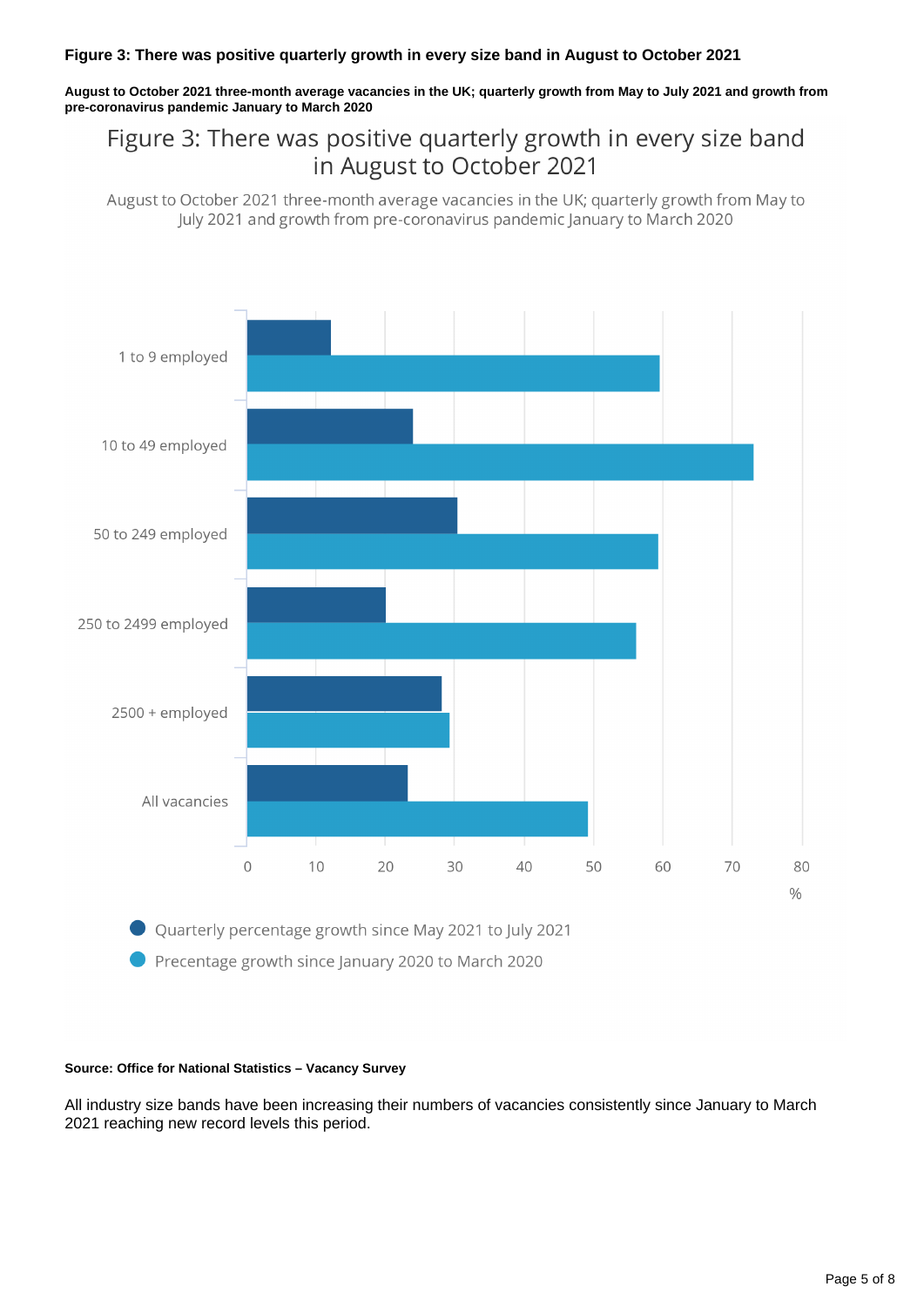### **Figure 3: There was positive quarterly growth in every size band in August to October 2021**

**August to October 2021 three-month average vacancies in the UK; quarterly growth from May to July 2021 and growth from pre-coronavirus pandemic January to March 2020**

## Figure 3: There was positive quarterly growth in every size band in August to October 2021

August to October 2021 three-month average vacancies in the UK; quarterly growth from May to July 2021 and growth from pre-coronavirus pandemic January to March 2020



Precentage growth since January 2020 to March 2020

#### **Source: Office for National Statistics – Vacancy Survey**

All industry size bands have been increasing their numbers of vacancies consistently since January to March 2021 reaching new record levels this period.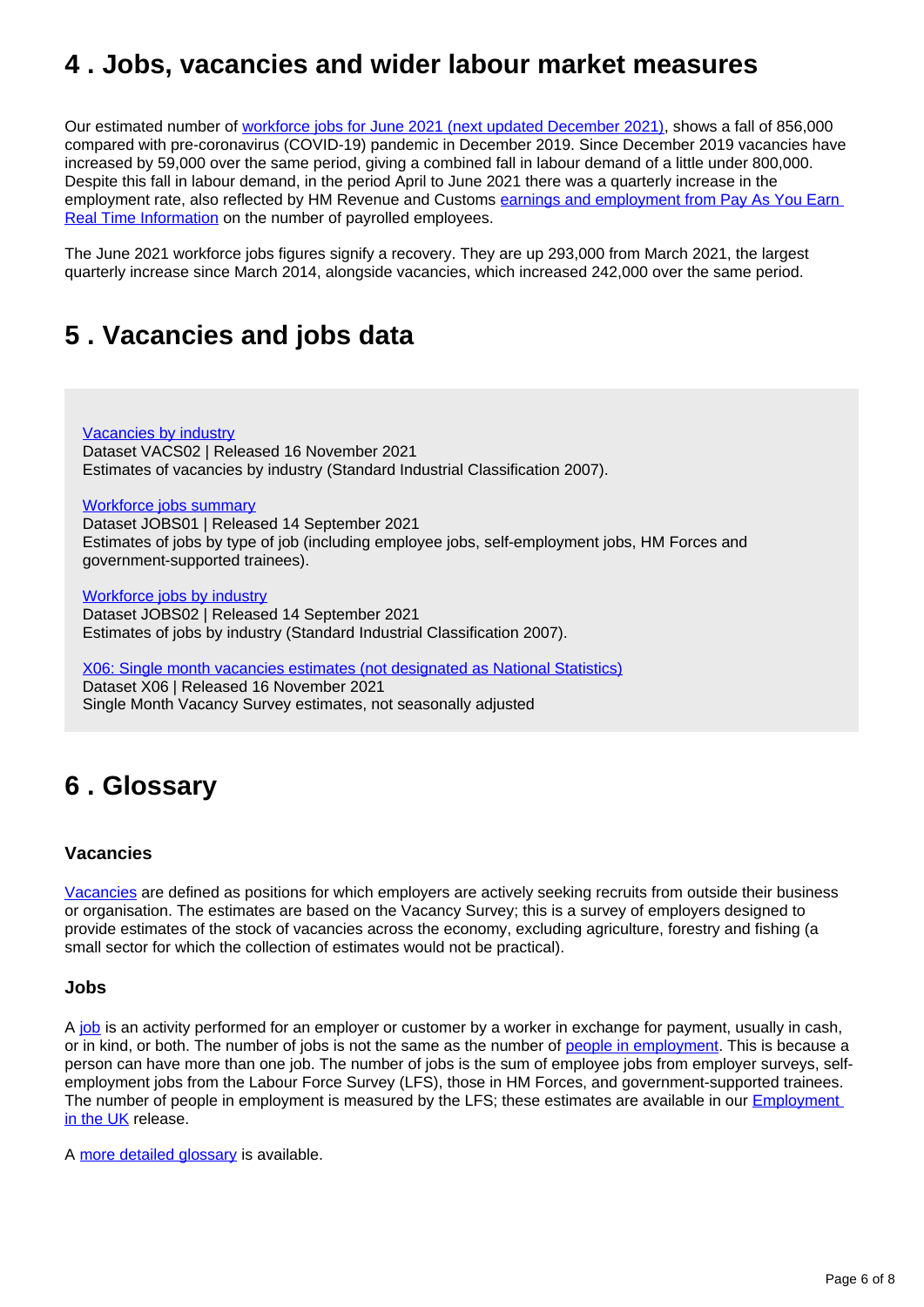## <span id="page-5-0"></span>**4 . Jobs, vacancies and wider labour market measures**

Our estimated number of [workforce jobs for June 2021 \(next updated December 2021\)](https://www.ons.gov.uk/redir/eyJhbGciOiJIUzI1NiJ9.eyJpbmRleCI6MSwicGFnZVNpemUiOjEwLCJ0ZXJtIjoiVmFjYW5jaWVzIiwicGFnZSI6MSwidXJpIjoiL2VtcGxveW1lbnRhbmRsYWJvdXJtYXJrZXQvcGVvcGxlaW53b3JrL2VtcGxveW1lbnRhbmRlbXBsb3llZXR5cGVzL2J1bGxldGlucy9qb2JzYW5kdmFjYW5jaWVzaW50aGV1ay9zZXB0ZW1iZXIyMDIxIiwibGlzdFR5cGUiOiJzZWFyY2gifQ.GSLFV4T75sEE5FC9j1h5s9BQCUvNlyrpH0vtre-SuxA), shows a fall of 856,000 compared with pre-coronavirus (COVID-19) pandemic in December 2019. Since December 2019 vacancies have increased by 59,000 over the same period, giving a combined fall in labour demand of a little under 800,000. Despite this fall in labour demand, in the period April to June 2021 there was a quarterly increase in the employment rate, also reflected by HM Revenue and Customs [earnings and employment from Pay As You Earn](https://www.ons.gov.uk/file?uri=%2femploymentandlabourmarket%2fpeopleinwork%2fearningsandworkinghours%2fdatasets%2frealtimeinformationstatisticsreferencetablenonseasonallyadjusted%2fcurrent/rtistatisticsreferencetablenotseasonallyadjusted1.xlsx)  [Real Time Information](https://www.ons.gov.uk/file?uri=%2femploymentandlabourmarket%2fpeopleinwork%2fearningsandworkinghours%2fdatasets%2frealtimeinformationstatisticsreferencetablenonseasonallyadjusted%2fcurrent/rtistatisticsreferencetablenotseasonallyadjusted1.xlsx) on the number of payrolled employees.

The June 2021 workforce jobs figures signify a recovery. They are up 293,000 from March 2021, the largest quarterly increase since March 2014, alongside vacancies, which increased 242,000 over the same period.

## <span id="page-5-1"></span>**5 . Vacancies and jobs data**

[Vacancies by industry](https://www.ons.gov.uk/employmentandlabourmarket/peoplenotinwork/unemployment/datasets/vacanciesbyindustryvacs02) Dataset VACS02 | Released 16 November 2021 Estimates of vacancies by industry (Standard Industrial Classification 2007).

#### [Workforce jobs summary](https://www.ons.gov.uk/employmentandlabourmarket/peopleinwork/employmentandemployeetypes/datasets/workforcejobssummaryjobs01)

Dataset JOBS01 | Released 14 September 2021 Estimates of jobs by type of job (including employee jobs, self-employment jobs, HM Forces and government-supported trainees).

[Workforce jobs by industry](https://www.ons.gov.uk/employmentandlabourmarket/peopleinwork/employmentandemployeetypes/datasets/workforcejobsbyindustryjobs02) Dataset JOBS02 | Released 14 September 2021 Estimates of jobs by industry (Standard Industrial Classification 2007).

[X06: Single month vacancies estimates \(not designated as National Statistics\)](https://www.ons.gov.uk/employmentandlabourmarket/peoplenotinwork/unemployment/datasets/x06singlemonthvacanciesestimatesnotdesignatedasnationalstatistics) Dataset X06 | Released 16 November 2021 Single Month Vacancy Survey estimates, not seasonally adjusted

## <span id="page-5-2"></span>**6 . Glossary**

### **Vacancies**

[Vacancies](https://www.ons.gov.uk/employmentandlabourmarket/peopleinwork/employmentandemployeetypes/methodologies/aguidetolabourmarketstatistics#vacancies) are defined as positions for which employers are actively seeking recruits from outside their business or organisation. The estimates are based on the Vacancy Survey; this is a survey of employers designed to provide estimates of the stock of vacancies across the economy, excluding agriculture, forestry and fishing (a small sector for which the collection of estimates would not be practical).

### **Jobs**

A [job](https://www.ons.gov.uk/employmentandlabourmarket/peopleinwork/employmentandemployeetypes/methodologies/aguidetolabourmarketstatistics#jobs) is an activity performed for an employer or customer by a worker in exchange for payment, usually in cash, or in kind, or both. The number of jobs is not the same as the number of [people in employment](https://www.ons.gov.uk/employmentandlabourmarket/peopleinwork/employmentandemployeetypes/methodologies/aguidetolabourmarketstatistics#employment). This is because a person can have more than one job. The number of jobs is the sum of employee jobs from employer surveys, selfemployment jobs from the Labour Force Survey (LFS), those in HM Forces, and government-supported trainees. The number of people in employment is measured by the LFS; these estimates are available in our **Employment** [in the UK](https://www.ons.gov.uk/employmentandlabourmarket/peopleinwork/employmentandemployeetypes/bulletins/employmentintheuk/latest) release.

A [more detailed glossary](https://www.ons.gov.uk/employmentandlabourmarket/peopleinwork/employmentandemployeetypes/methodologies/aguidetolabourmarketstatistics#glossary) is available.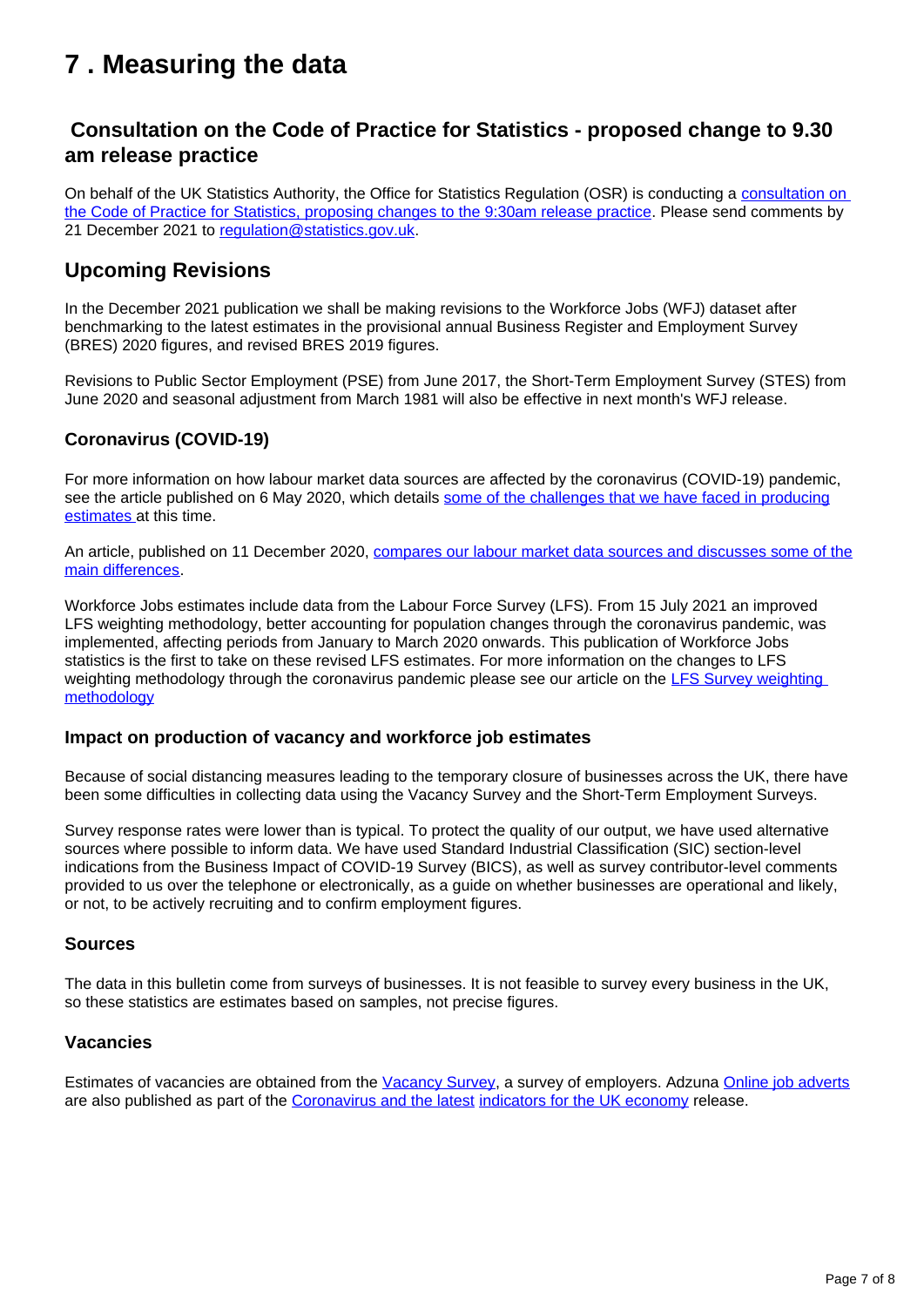## <span id="page-6-0"></span>**7 . Measuring the data**

## **Consultation on the Code of Practice for Statistics - proposed change to 9.30 am release practice**

On behalf of the UK Statistics Authority, the Office for Statistics Regulation (OSR) is conducting a consultation on [the Code of Practice for Statistics, proposing changes to the 9:30am release practice](https://osr.statisticsauthority.gov.uk/what-we-do/code-of-practice/consultation-on-the-code-of-practice-for-statistics-proposed-change-to-9-30am-release-practice/). Please send comments by 21 December 2021 to [regulation@statistics.gov.uk](mailto:regulation@statistics.gov.uk).

### **Upcoming Revisions**

In the December 2021 publication we shall be making revisions to the Workforce Jobs (WFJ) dataset after benchmarking to the latest estimates in the provisional annual Business Register and Employment Survey (BRES) 2020 figures, and revised BRES 2019 figures.

Revisions to Public Sector Employment (PSE) from June 2017, the Short-Term Employment Survey (STES) from June 2020 and seasonal adjustment from March 1981 will also be effective in next month's WFJ release.

### **Coronavirus (COVID-19)**

For more information on how labour market data sources are affected by the coronavirus (COVID-19) pandemic, see the article published on 6 May 2020, which details [some of the challenges that we have faced in producing](https://www.ons.gov.uk/employmentandlabourmarket/peopleinwork/employmentandemployeetypes/articles/coronavirusandtheeffectsonuklabourmarketstatistics/2020-05-06) [estimates a](https://www.ons.gov.uk/employmentandlabourmarket/peopleinwork/employmentandemployeetypes/articles/coronavirusandtheeffectsonuklabourmarketstatistics/2020-05-06)t this time.

An article, published on 11 December 2020, [compares our labour market data sources and discusses some of the](https://www.ons.gov.uk/employmentandlabourmarket/peopleinwork/employmentandemployeetypes/methodologies/comparisonoflabourmarketdatasources) [main differences.](https://www.ons.gov.uk/employmentandlabourmarket/peopleinwork/employmentandemployeetypes/methodologies/comparisonoflabourmarketdatasources)

Workforce Jobs estimates include data from the Labour Force Survey (LFS). From 15 July 2021 an improved LFS weighting methodology, better accounting for population changes through the coronavirus pandemic, was implemented, affecting periods from January to March 2020 onwards. This publication of Workforce Jobs statistics is the first to take on these revised LFS estimates. For more information on the changes to LFS weighting methodology through the coronavirus pandemic please see our article on the LFS Survey weighting [methodology](https://www.ons.gov.uk/employmentandlabourmarket/peopleinwork/employmentandemployeetypes/methodologies/labourforcesurveyweightingmethodology)

### **Impact on production of vacancy and workforce job estimates**

Because of social distancing measures leading to the temporary closure of businesses across the UK, there have been some difficulties in collecting data using the Vacancy Survey and the Short-Term Employment Surveys.

Survey response rates were lower than is typical. To protect the quality of our output, we have used alternative sources where possible to inform data. We have used Standard Industrial Classification (SIC) section-level indications from the Business Impact of COVID-19 Survey (BICS), as well as survey contributor-level comments provided to us over the telephone or electronically, as a guide on whether businesses are operational and likely, or not, to be actively recruiting and to confirm employment figures.

### **Sources**

The data in this bulletin come from surveys of businesses. It is not feasible to survey every business in the UK, so these statistics are estimates based on samples, not precise figures.

### **Vacancies**

Estimates of vacancies are obtained from the [Vacancy Survey](https://www.ons.gov.uk/employmentandlabourmarket/peopleinwork/employmentandemployeetypes/methodologies/vacancysurveyqmi), a survey of employers. Adzuna [Online job adverts](https://www.ons.gov.uk/economy/economicoutputandproductivity/output/datasets/onlinejobadvertestimates) are also published as part of the [Coronavirus and the latest](https://www.ons.gov.uk/peoplepopulationandcommunity/healthandsocialcare/conditionsanddiseases/bulletins/coronavirustheukeconomyandsocietyfasterindicators/latest) [indicators for the UK economy](https://www.ons.gov.uk/peoplepopulationandcommunity/healthandsocialcare/conditionsanddiseases/bulletins/coronavirustheukeconomyandsocietyfasterindicators/latest) release.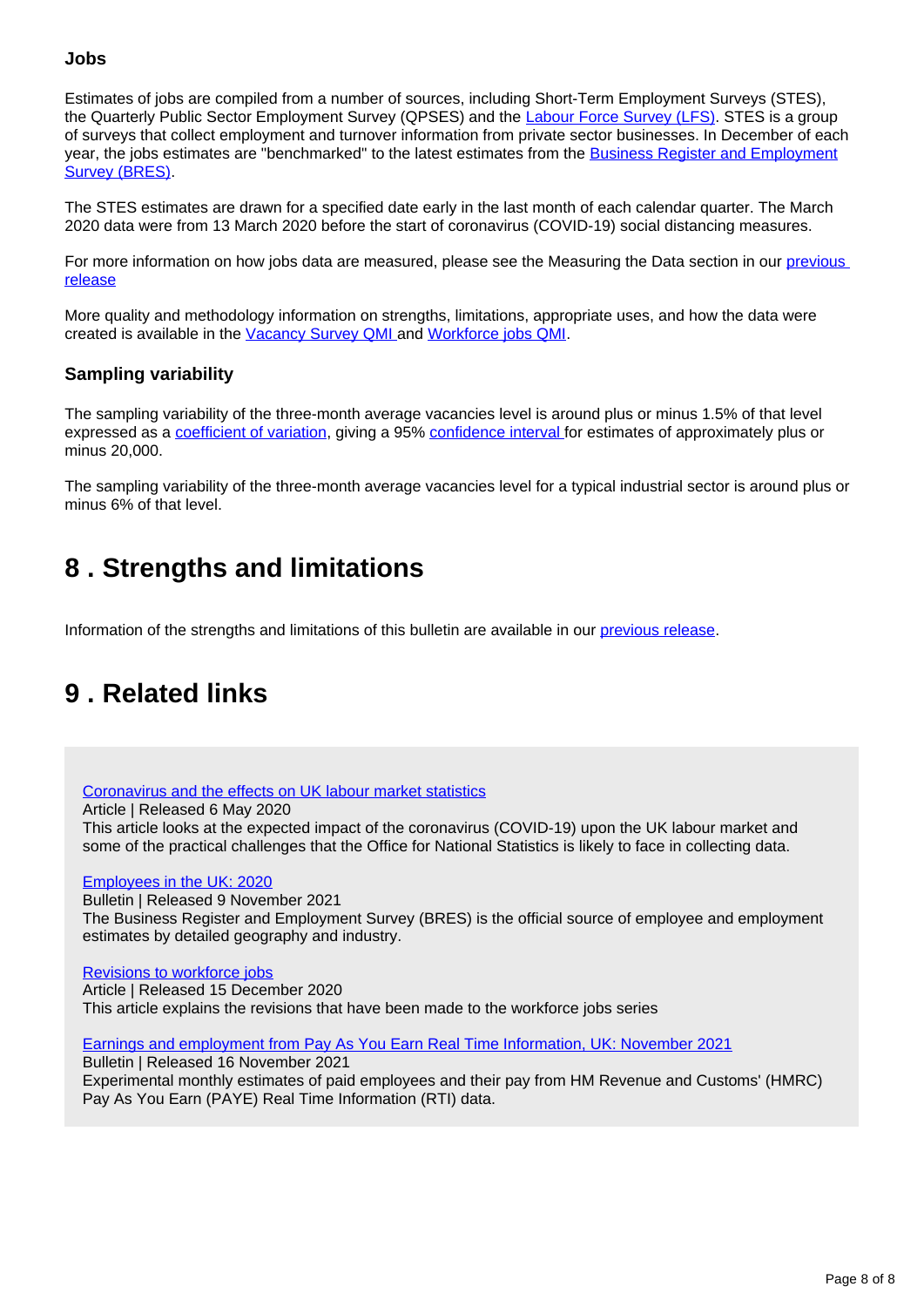### **Jobs**

Estimates of jobs are compiled from a number of sources, including Short-Term Employment Surveys (STES), the Quarterly Public Sector Employment Survey (QPSES) and the [Labour Force Survey \(LFS\)](http://www.ons.gov.uk/ons/about-ons/get-involved/taking-part-in-a-survey/information-for-households/a-to-z-of-household-and-individual-surveys/labour-force-survey/index.html). STES is a group of surveys that collect employment and turnover information from private sector businesses. In December of each year, the jobs estimates are "benchmarked" to the latest estimates from the [Business Register and Employment](https://www.ons.gov.uk/employmentandlabourmarket/peopleinwork/employmentandemployeetypes/methodologies/businessregisterandemploymentsurveybres) [Survey \(BRES\)](https://www.ons.gov.uk/employmentandlabourmarket/peopleinwork/employmentandemployeetypes/methodologies/businessregisterandemploymentsurveybres).

The STES estimates are drawn for a specified date early in the last month of each calendar quarter. The March 2020 data were from 13 March 2020 before the start of coronavirus (COVID-19) social distancing measures.

For more information on how jobs data are measured, please see the Measuring the Data section in our previous [release](https://www.ons.gov.uk/employmentandlabourmarket/peopleinwork/employmentandemployeetypes/bulletins/jobsandvacanciesintheuk/april2021#measuring-the-data)

More quality and methodology information on strengths, limitations, appropriate uses, and how the data were created is available in the [Vacancy Survey QMI](https://www.ons.gov.uk/employmentandlabourmarket/peopleinwork/employmentandemployeetypes/methodologies/vacancysurveyqmi) and [Workforce jobs QMI](https://www.ons.gov.uk/employmentandlabourmarket/peopleinwork/employmentandemployeetypes/methodologies/workforcejobsqmi).

### **Sampling variability**

The sampling variability of the three-month average vacancies level is around plus or minus 1.5% of that level expressed as a [coefficient of variation,](https://www.ons.gov.uk/methodology/methodologytopicsandstatisticalconcepts/uncertaintyandhowwemeasureit#coefficient-of-variation) giving a 95% [confidence interval f](https://www.ons.gov.uk/methodology/methodologytopicsandstatisticalconcepts/uncertaintyandhowwemeasureit#confidence-interval)or estimates of approximately plus or minus 20,000.

The sampling variability of the three-month average vacancies level for a typical industrial sector is around plus or minus 6% of that level.

## <span id="page-7-0"></span>**8 . Strengths and limitations**

Information of the strengths and limitations of this bulletin are available in our [previous release](https://www.ons.gov.uk/employmentandlabourmarket/peopleinwork/employmentandemployeetypes/bulletins/jobsandvacanciesintheuk/april2021).

## <span id="page-7-1"></span>**9 . Related links**

[Coronavirus and the effects on UK labour market statistics](https://www.ons.gov.uk/employmentandlabourmarket/peopleinwork/employmentandemployeetypes/articles/coronavirusandtheeffectsonuklabourmarketstatistics/2020-05-06)

Article | Released 6 May 2020

This article looks at the expected impact of the coronavirus (COVID-19) upon the UK labour market and some of the practical challenges that the Office for National Statistics is likely to face in collecting data.

#### [Employees in the UK: 2020](https://www.ons.gov.uk/redir/eyJhbGciOiJIUzI1NiJ9.eyJpbmRleCI6MywicGFnZVNpemUiOjEwLCJ0ZXJtIjoiRW1wbG95ZWVzIGluIHRoZSBVSyIsInBhZ2UiOjEsInVyaSI6Ii9lbXBsb3ltZW50YW5kbGFib3VybWFya2V0L3Blb3BsZWlud29yay9lbXBsb3ltZW50YW5kZW1wbG95ZWV0eXBlcy9idWxsZXRpbnMvYnVzaW5lc3NyZWdpc3RlcmFuZGVtcGxveW1lbnRzdXJ2ZXlicmVzcHJvdmlzaW9uYWxyZXN1bHRzL3Byb3Zpc2lvbmFscmVzdWx0czIwMjAiLCJsaXN0VHlwZSI6InNlYXJjaCJ9.CgP5QRpO6tMtfw6BndhPv8oLdr7fJnEGWUVadXaR38w)

Bulletin | Released 9 November 2021 The Business Register and Employment Survey (BRES) is the official source of employee and employment estimates by detailed geography and industry.

### [Revisions to workforce jobs](https://www.ons.gov.uk/employmentandlabourmarket/peopleinwork/employmentandemployeetypes/articles/revisionstoworkforcejobs/december2020)

Article | Released 15 December 2020 This article explains the revisions that have been made to the workforce jobs series

[Earnings and employment from Pay As You Earn Real Time Information, UK: November 2021](https://www.ons.gov.uk/employmentandlabourmarket/peopleinwork/earningsandworkinghours/bulletins/earningsandemploymentfrompayasyouearnrealtimeinformationuk/latest)

Bulletin | Released 16 November 2021 Experimental monthly estimates of paid employees and their pay from HM Revenue and Customs' (HMRC) Pay As You Earn (PAYE) Real Time Information (RTI) data.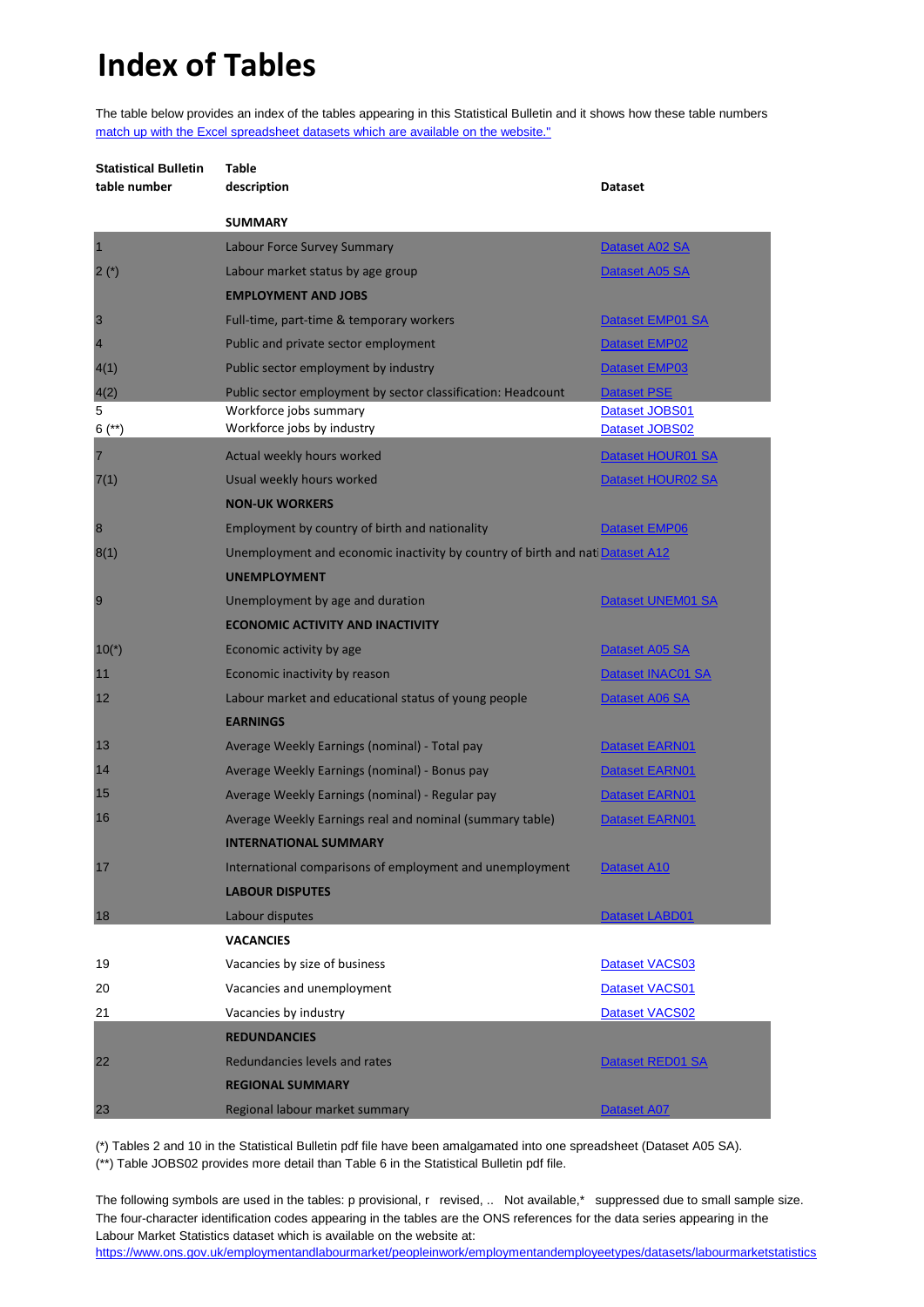# **Index of Tables**

The table below provides an index of the tables appearing in this Statistical Bulletin and it shows how these table numbers [match up with the Excel spreadsheet datasets which are available on the website."](https://www.ons.gov.uk/employmentandlabourmarket/peopleinwork/employmentandemployeetypes/bulletins/uklabourmarket/November2021/relateddata)

| <b>Statistical Bulletin</b> | <b>Table</b>                                                                  |                      |
|-----------------------------|-------------------------------------------------------------------------------|----------------------|
| table number                | description                                                                   | <b>Dataset</b>       |
|                             | <b>SUMMARY</b>                                                                |                      |
| $\overline{\mathbf{1}}$     | Labour Force Survey Summary                                                   | Dataset A02 SA       |
| $2(*)$                      | Labour market status by age group                                             | Dataset A05 SA       |
|                             | <b>EMPLOYMENT AND JOBS</b>                                                    |                      |
| 3                           | Full-time, part-time & temporary workers                                      | Dataset EMP01 SA     |
| $\overline{4}$              | Public and private sector employment                                          | Dataset EMP02        |
| 4(1)                        | Public sector employment by industry                                          | Dataset EMP03        |
| 4(2)                        | Public sector employment by sector classification: Headcount                  | <b>Dataset PSE</b>   |
| 5                           | Workforce jobs summary                                                        | Dataset JOBS01       |
| $6$ (**)                    | Workforce jobs by industry                                                    | Dataset JOBS02       |
| $\overline{7}$              | Actual weekly hours worked                                                    | Dataset HOUR01 SA    |
| 7(1)                        | Usual weekly hours worked                                                     | Dataset HOUR02 SA    |
|                             | <b>NON-UK WORKERS</b>                                                         |                      |
| $\boldsymbol{8}$            | Employment by country of birth and nationality                                | <b>Dataset EMP06</b> |
| 8(1)                        | Unemployment and economic inactivity by country of birth and nati Dataset A12 |                      |
|                             | <b>UNEMPLOYMENT</b>                                                           |                      |
| 9                           | Unemployment by age and duration                                              | Dataset UNEM01 SA    |
|                             | <b>ECONOMIC ACTIVITY AND INACTIVITY</b>                                       |                      |
| $10(*)$                     | Economic activity by age                                                      | Dataset A05 SA       |
| 11                          | Economic inactivity by reason                                                 | Dataset INAC01 SA    |
| 12                          | Labour market and educational status of young people                          | Dataset A06 SA       |
|                             | <b>EARNINGS</b>                                                               |                      |
| 13                          | Average Weekly Earnings (nominal) - Total pay                                 | Dataset EARN01       |
| 14                          | Average Weekly Earnings (nominal) - Bonus pay                                 | Dataset EARN01       |
| 15                          | Average Weekly Earnings (nominal) - Regular pay                               | Dataset EARN01       |
| 16                          | Average Weekly Earnings real and nominal (summary table)                      | Dataset EARN01       |
|                             | <b>INTERNATIONAL SUMMARY</b>                                                  |                      |
| 17                          | International comparisons of employment and unemployment                      | Dataset A10          |
|                             | <b>LABOUR DISPUTES</b>                                                        |                      |
| 18                          | Labour disputes                                                               | Dataset LABD01       |
|                             | <b>VACANCIES</b>                                                              |                      |
| 19                          | Vacancies by size of business                                                 | Dataset VACS03       |
| 20                          | Vacancies and unemployment                                                    | Dataset VACS01       |
| 21                          | Vacancies by industry                                                         | Dataset VACS02       |
|                             | <b>REDUNDANCIES</b>                                                           |                      |
| 22                          | Redundancies levels and rates                                                 | Dataset RED01 SA     |
|                             | <b>REGIONAL SUMMARY</b>                                                       |                      |
| 23                          | Regional labour market summary                                                | <b>Dataset A07</b>   |

(\*) Tables 2 and 10 in the Statistical Bulletin pdf file have been amalgamated into one spreadsheet (Dataset A05 SA).

(\*\*) Table JOBS02 provides more detail than Table 6 in the Statistical Bulletin pdf file.

The following symbols are used in the tables: p provisional, r revised, .. Not available,\* suppressed due to small sample size. The four-character identification codes appearing in the tables are the ONS references for the data series appearing in the Labour Market Statistics dataset which is available on the website at:

[https://www.ons.gov.uk](https://www.ons.gov.uk/employmentandlabourmarket/peopleinwork/employmentandemployeetypes/datasets/labourmarketstatistics)/employmentandlabourmarket/peopleinwork/employmentandemployeetypes/datasets/labourmarketstatistics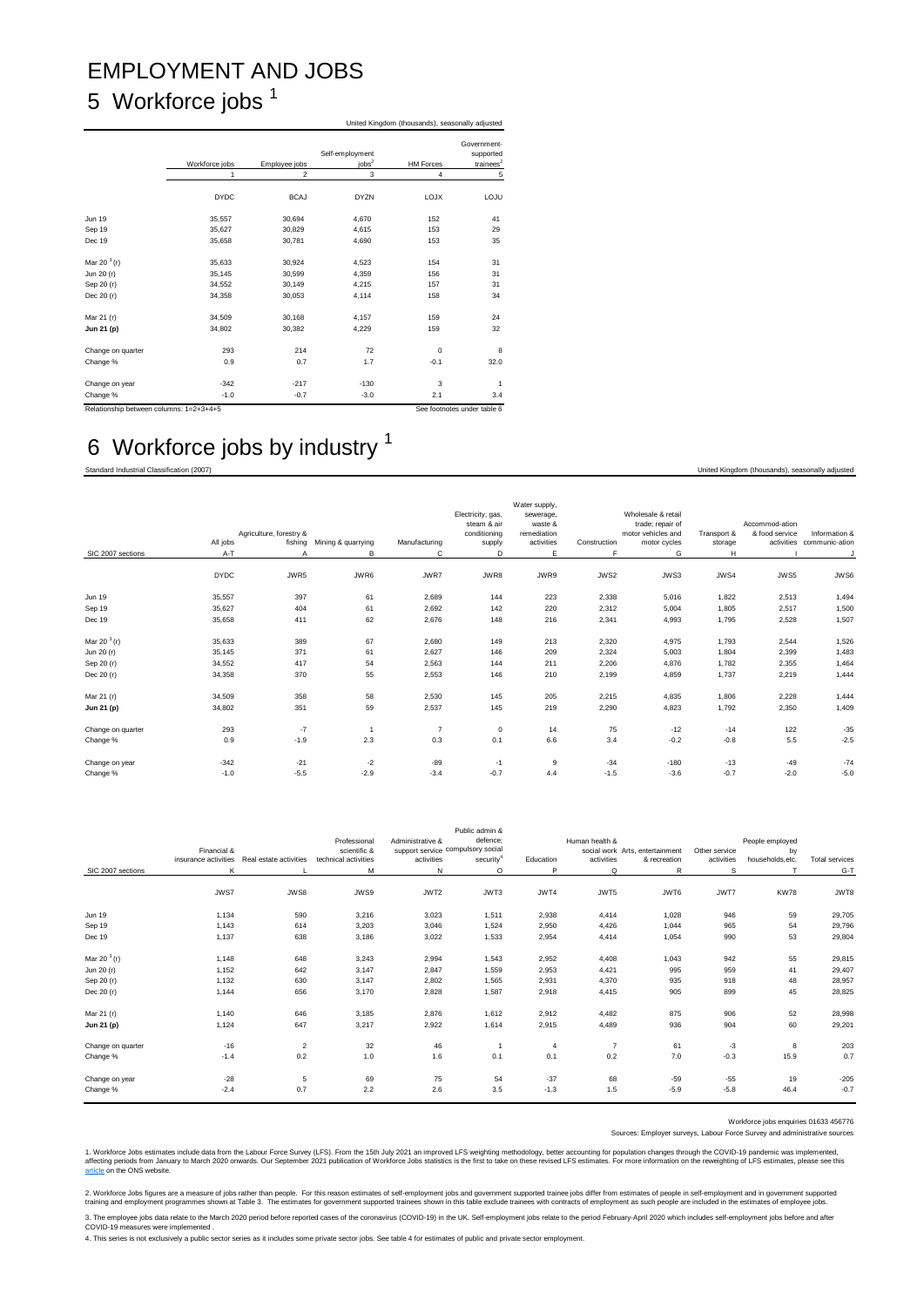## EMPLOYMENT AND JOBS 5 Workforce jobs<sup>1</sup>

|                                         | United Kingdom (thousands), seasonally adjusted |                |                                 |                  |                                          |  |  |  |  |
|-----------------------------------------|-------------------------------------------------|----------------|---------------------------------|------------------|------------------------------------------|--|--|--|--|
|                                         | Workforce jobs                                  | Employee jobs  | Self-employment<br>$i$ obs $^2$ | <b>HM Forces</b> | Government-<br>supported<br>trainees $2$ |  |  |  |  |
|                                         | 1                                               | $\overline{2}$ | $\mathsf 3$                     | $\overline{4}$   | 5                                        |  |  |  |  |
|                                         | <b>DYDC</b>                                     | <b>BCAJ</b>    | <b>DYZN</b>                     | <b>LOJX</b>      | LOJU                                     |  |  |  |  |
| <b>Jun 19</b>                           | 35.557                                          | 30.694         | 4.670                           | 152              | 41                                       |  |  |  |  |
| Sep 19                                  | 35.627                                          | 30,829         | 4,615                           | 153              | 29                                       |  |  |  |  |
| Dec 19                                  | 35,658                                          | 30,781         | 4,690                           | 153              | 35                                       |  |  |  |  |
| Mar 20 $3(r)$                           | 35.633                                          | 30,924         | 4,523                           | 154              | 31                                       |  |  |  |  |
| Jun 20 (r)                              | 35,145                                          | 30,599         | 4,359                           | 156              | 31                                       |  |  |  |  |
| Sep 20 (r)                              | 34.552                                          | 30,149         | 4,215                           | 157              | 31                                       |  |  |  |  |
| Dec 20 (r)                              | 34,358                                          | 30,053         | 4,114                           | 158              | 34                                       |  |  |  |  |
| Mar 21 (r)                              | 34,509                                          | 30,168         | 4,157                           | 159              | 24                                       |  |  |  |  |
| Jun 21 (p)                              | 34,802                                          | 30,382         | 4,229                           | 159              | 32                                       |  |  |  |  |
| Change on quarter                       | 293                                             | 214            | 72                              | $\Omega$         | 8                                        |  |  |  |  |
| Change %                                | 0.9                                             | 0.7            | 1.7                             | $-0.1$           | 32.0                                     |  |  |  |  |
| Change on year                          | $-342$                                          | $-217$         | $-130$                          | 3                | $\mathbf{1}$                             |  |  |  |  |
| Change %                                | $-1.0$                                          | $-0.7$         | $-3.0$                          | 2.1              | 3.4                                      |  |  |  |  |
| Relationship between columns: 1=2+3+4+5 |                                                 |                |                                 |                  | See footnotes under table 6              |  |  |  |  |

## 6 Workforce jobs by industry <sup>1</sup>

Standard Industrial Classification (2007) United Kingdom (thousands), seasonally adjusted

| SIC 2007 sections | All jobs<br>$A - T$ | Agriculture, forestry &<br>fishing<br>Α | Mining & quarrying<br>B | Manufacturing<br>C | Electricity, gas,<br>steam & air<br>conditioning<br>supply<br>D | Water supply,<br>sewerage,<br>waste &<br>remediation<br>activities<br>E | Construction<br>F | Wholesale & retail<br>trade; repair of<br>motor vehicles and<br>motor cycles<br>G | Transport &<br>storage<br>H | Accommod-ation<br>& food service<br>activities | Information &<br>communic-ation<br>J |
|-------------------|---------------------|-----------------------------------------|-------------------------|--------------------|-----------------------------------------------------------------|-------------------------------------------------------------------------|-------------------|-----------------------------------------------------------------------------------|-----------------------------|------------------------------------------------|--------------------------------------|
|                   |                     |                                         |                         |                    |                                                                 |                                                                         |                   |                                                                                   |                             |                                                |                                      |
|                   | <b>DYDC</b>         | JWR5                                    | JWR6                    | JWR7               | JWR8                                                            | JWR9                                                                    | JWS2              | JWS3                                                                              | JWS4                        | JWS5                                           | JWS6                                 |
| <b>Jun 19</b>     | 35,557              | 397                                     | 61                      | 2,689              | 144                                                             | 223                                                                     | 2,338             | 5,016                                                                             | 1,822                       | 2,513                                          | 1,494                                |
| Sep 19            | 35,627              | 404                                     | 61                      | 2,692              | 142                                                             | 220                                                                     | 2,312             | 5,004                                                                             | 1.805                       | 2,517                                          | 1,500                                |
| Dec 19            | 35,658              | 411                                     | 62                      | 2,676              | 148                                                             | 216                                                                     | 2,341             | 4,993                                                                             | 1,795                       | 2,528                                          | 1,507                                |
| Mar 20 $3(r)$     | 35,633              | 389                                     | 67                      | 2,680              | 149                                                             | 213                                                                     | 2,320             | 4,975                                                                             | 1,793                       | 2,544                                          | 1,526                                |
| Jun 20 (r)        | 35,145              | 371                                     | 61                      | 2,627              | 146                                                             | 209                                                                     | 2,324             | 5,003                                                                             | 1,804                       | 2,399                                          | 1,483                                |
| Sep 20 (r)        | 34,552              | 417                                     | 54                      | 2,563              | 144                                                             | 211                                                                     | 2,206             | 4.876                                                                             | 1,782                       | 2,355                                          | 1,464                                |
| Dec 20 (r)        | 34,358              | 370                                     | 55                      | 2,553              | 146                                                             | 210                                                                     | 2,199             | 4,859                                                                             | 1,737                       | 2,219                                          | 1,444                                |
| Mar 21 (r)        | 34,509              | 358                                     | 58                      | 2,530              | 145                                                             | 205                                                                     | 2,215             | 4,835                                                                             | 1,806                       | 2,228                                          | 1,444                                |
| Jun 21 (p)        | 34,802              | 351                                     | 59                      | 2,537              | 145                                                             | 219                                                                     | 2,290             | 4,823                                                                             | 1,792                       | 2,350                                          | 1,409                                |
| Change on quarter | 293                 | $-7$                                    |                         | $\overline{7}$     | $\mathbf 0$                                                     | 14                                                                      | 75                | $-12$                                                                             | $-14$                       | 122                                            | $-35$                                |
| Change %          | 0.9                 | $-1.9$                                  | 2.3                     | 0.3                | 0.1                                                             | 6.6                                                                     | 3.4               | $-0.2$                                                                            | $-0.8$                      | 5.5                                            | $-2.5$                               |
| Change on year    | $-342$              | $-21$                                   | $-2$                    | $-89$              | $-1$                                                            | 9                                                                       | $-34$             | $-180$                                                                            | $-13$                       | $-49$                                          | $-74$                                |
| Change %          | $-1.0$              | $-5.5$                                  | $-2.9$                  | $-3.4$             | $-0.7$                                                          | 4.4                                                                     | $-1.5$            | $-3.6$                                                                            | $-0.7$                      | $-2.0$                                         | $-5.0$                               |

|                   |                      |                         |                      |                                   | Public admin &        |                |                |                                 |               |                  |                       |
|-------------------|----------------------|-------------------------|----------------------|-----------------------------------|-----------------------|----------------|----------------|---------------------------------|---------------|------------------|-----------------------|
|                   |                      |                         | Professional         | Administrative &                  | defence;              |                | Human health & |                                 |               | People employed  |                       |
|                   | Financial &          |                         | scientific &         | support service compulsory social |                       |                |                | social work Arts, entertainment | Other service | by               |                       |
|                   | insurance activities | Real estate activities  | technical activities | activities                        | security <sup>4</sup> | Education      | activities     | & recreation                    | activities    | households, etc. | <b>Total services</b> |
| SIC 2007 sections | K                    |                         | м                    | N                                 | $\circ$               | P              | Q              | R                               | s             |                  | $G-T$                 |
|                   |                      |                         |                      |                                   |                       |                |                |                                 |               |                  |                       |
|                   | JWS7                 | JWS8                    | JWS9                 | JWT2                              | JWT3                  | JWT4           | JWT5           | JWT6                            | JWT7          | <b>KW78</b>      | JWT8                  |
|                   |                      |                         |                      |                                   |                       |                |                |                                 |               |                  |                       |
| <b>Jun 19</b>     | 1,134                | 590                     | 3,216                | 3,023                             | 1,511                 | 2,938          | 4,414          | 1,028                           | 946           | 59               | 29,705                |
| Sep 19            | 1,143                | 614                     | 3,203                | 3,046                             | 1,524                 | 2,950          | 4,426          | 1.044                           | 965           | 54               | 29,796                |
| Dec 19            | 1,137                | 638                     | 3,186                | 3,022                             | 1,533                 | 2,954          | 4,414          | 1,054                           | 990           | 53               | 29,804                |
|                   |                      |                         |                      |                                   |                       |                |                |                                 |               |                  |                       |
| Mar 20 $3$ (r)    | 1,148                | 648                     | 3,243                | 2,994                             | 1,543                 | 2,952          | 4,408          | 1,043                           | 942           | 55               | 29,815                |
| Jun 20 (r)        | 1,152                | 642                     | 3,147                | 2,847                             | 1.559                 | 2,953          | 4,421          | 995                             | 959           | 41               | 29,407                |
| Sep 20 (r)        | 1,132                | 630                     | 3,147                | 2,802                             | 1,565                 | 2,931          | 4,370          | 935                             | 918           | 48               | 28,957                |
| Dec 20 (r)        | 1,144                | 656                     | 3,170                | 2,828                             | 1,587                 | 2,918          | 4,415          | 905                             | 899           | 45               | 28,825                |
|                   |                      |                         |                      |                                   |                       |                |                |                                 |               |                  |                       |
| Mar 21 (r)        | 1,140                | 646                     | 3,185                | 2,876                             | 1,612                 | 2,912          | 4,482          | 875                             | 906           | 52               | 28,998                |
| Jun 21 (p)        | 1,124                | 647                     | 3,217                | 2,922                             | 1,614                 | 2,915          | 4,489          | 936                             | 904           | 60               | 29,201                |
|                   |                      |                         |                      |                                   |                       |                |                |                                 |               |                  |                       |
| Change on quarter | $-16$                | $\overline{\mathbf{c}}$ | 32                   | 46                                | $\overline{1}$        | $\overline{4}$ | $\overline{7}$ | 61                              | -3            | 8                | 203                   |
| Change %          | $-1.4$               | 0.2                     | 1.0                  | 1.6                               | 0.1                   | 0.1            | 0.2            | 7.0                             | $-0.3$        | 15.9             | 0.7                   |
|                   |                      |                         |                      |                                   |                       |                |                |                                 |               |                  |                       |
| Change on year    | $-28$                | 5                       | 69                   | 75                                | 54                    | $-37$          | 68             | $-59$                           | $-55$         | 19               | $-205$                |
| Change %          | $-2.4$               | 0.7                     | 2.2                  | 2.6                               | 3.5                   | $-1.3$         | 1.5            | $-5.9$                          | $-5.8$        | 46.4             | $-0.7$                |

Workforce jobs enquiries 01633 456776

Sources: Employer surveys, Labour Force Survey and administrative sources

[1. Workforce Jobs estimat](https://www.ons.gov.uk/employmentandlabourmarket/peopleinwork/employmentandemployeetypes/articles/impactofreweightingonlabourforcesurveykeyindicatorsuk/2020)es include data from the Labour Force Survey (LFS). From the 15th July 2021 an improved LFS weighting methodology, better accounting for population changes through the COVID-19 pandemic was impleme

2. Workforce Jobs figures are asure of jobs rather than people. For this reason estimates of self-employment jobs and government supported traines in the form estimates of people in ell-employment and the set included in t

3. The employee jobs data relate to the March 2020 period before reported cases of the coronavirus (COVID-19) in the UK. Self-employment jobs relate to the period February-April 2020 which includes self-employment jobs bef

4. This series is not exclusively a public sector series as it includes some private sector jobs. See table 4 for estimates of public and private sector employment.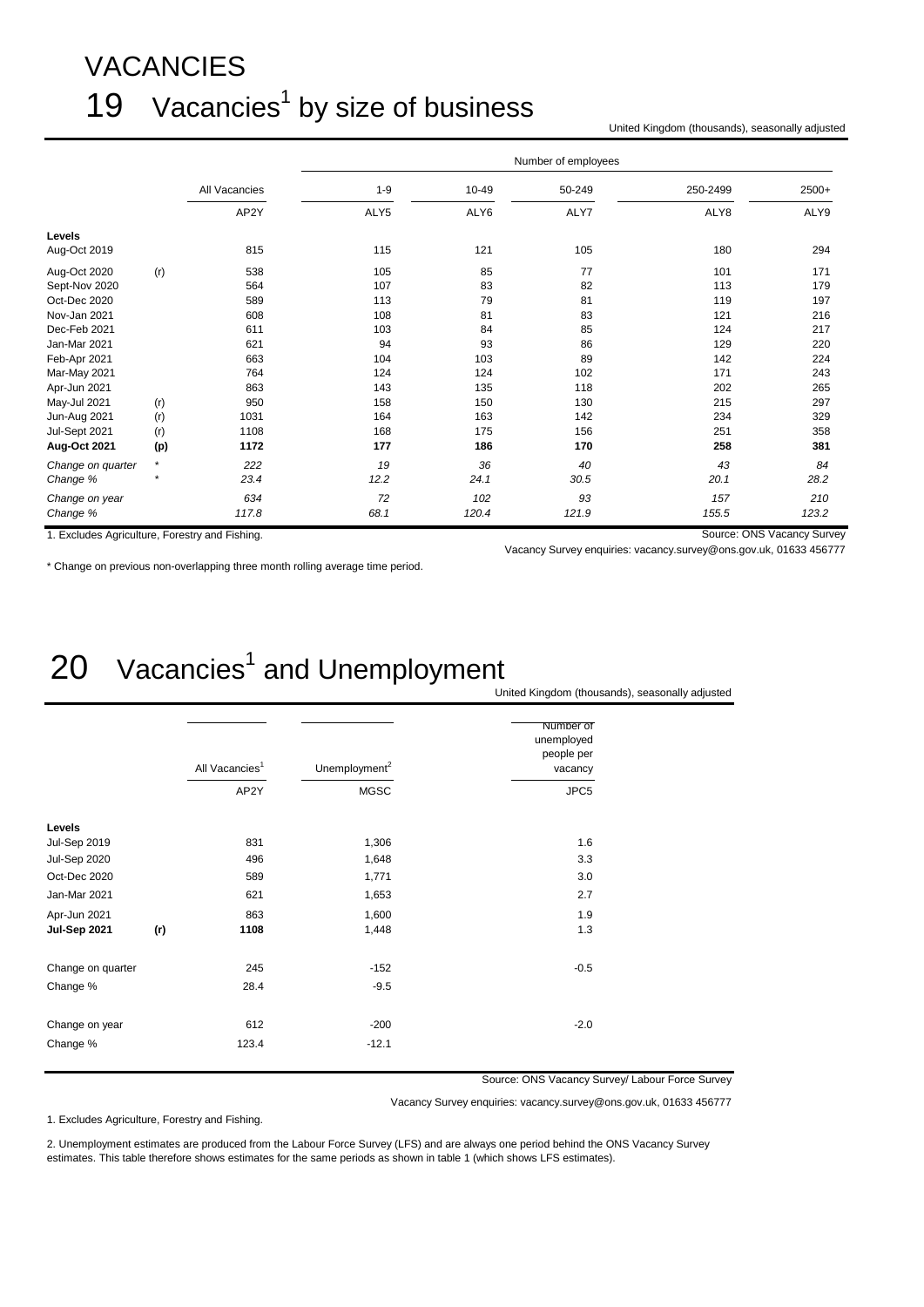# VACANCIES 19 Vacancies<sup>1</sup> by size of business

United Kingdom (thousands), seasonally adjusted

|                                                |         |               | Number of employees |       |        |          |                            |  |  |  |
|------------------------------------------------|---------|---------------|---------------------|-------|--------|----------|----------------------------|--|--|--|
|                                                |         | All Vacancies | $1 - 9$             | 10-49 | 50-249 | 250-2499 | 2500+                      |  |  |  |
|                                                |         | AP2Y          | ALY5                | ALY6  | ALY7   | ALY8     | ALY9                       |  |  |  |
| Levels                                         |         |               |                     |       |        |          |                            |  |  |  |
| Aug-Oct 2019                                   |         | 815           | 115                 | 121   | 105    | 180      | 294                        |  |  |  |
| Aug-Oct 2020                                   | (r)     | 538           | 105                 | 85    | 77     | 101      | 171                        |  |  |  |
| Sept-Nov 2020                                  |         | 564           | 107                 | 83    | 82     | 113      | 179                        |  |  |  |
| Oct-Dec 2020                                   |         | 589           | 113                 | 79    | 81     | 119      | 197                        |  |  |  |
| Nov-Jan 2021                                   |         | 608           | 108                 | 81    | 83     | 121      | 216                        |  |  |  |
| Dec-Feb 2021                                   |         | 611           | 103                 | 84    | 85     | 124      | 217                        |  |  |  |
| Jan-Mar 2021                                   |         | 621           | 94                  | 93    | 86     | 129      | 220                        |  |  |  |
| Feb-Apr 2021                                   |         | 663           | 104                 | 103   | 89     | 142      | 224                        |  |  |  |
| Mar-May 2021                                   |         | 764           | 124                 | 124   | 102    | 171      | 243                        |  |  |  |
| Apr-Jun 2021                                   |         | 863           | 143                 | 135   | 118    | 202      | 265                        |  |  |  |
| May-Jul 2021                                   | (r)     | 950           | 158                 | 150   | 130    | 215      | 297                        |  |  |  |
| Jun-Aug 2021                                   | (r)     | 1031          | 164                 | 163   | 142    | 234      | 329                        |  |  |  |
| Jul-Sept 2021                                  | (r)     | 1108          | 168                 | 175   | 156    | 251      | 358                        |  |  |  |
| Aug-Oct 2021                                   | (p)     | 1172          | 177                 | 186   | 170    | 258      | 381                        |  |  |  |
| Change on quarter                              | $\star$ | 222           | 19                  | 36    | 40     | 43       | 84                         |  |  |  |
| Change %                                       | $\star$ | 23.4          | 12.2                | 24.1  | 30.5   | 20.1     | 28.2                       |  |  |  |
| Change on year                                 |         | 634           | 72                  | 102   | 93     | 157      | 210                        |  |  |  |
| Change %                                       |         | 117.8         | 68.1                | 120.4 | 121.9  | 155.5    | 123.2                      |  |  |  |
| 1. Excludes Agriculture, Forestry and Fishing. |         |               |                     |       |        |          | Source: ONS Vacancy Survey |  |  |  |

Vacancy Survey enquiries: vacancy.survey@ons.gov.uk, 01633 456777

\* Change on previous non-overlapping three month rolling average time period.

## $20$  Vacancies<sup>1</sup> and Unemployment United Kingdom (thousands), seasonally adjusted

|                     | All Vacancies <sup>1</sup><br>AP2Y | Unemployment <sup>2</sup><br><b>MGSC</b> | Number of<br>unemployed<br>people per<br>vacancy<br>JPC5 |
|---------------------|------------------------------------|------------------------------------------|----------------------------------------------------------|
|                     |                                    |                                          |                                                          |
| Levels              |                                    |                                          |                                                          |
| <b>Jul-Sep 2019</b> | 831                                | 1,306                                    | 1.6                                                      |
| <b>Jul-Sep 2020</b> | 496                                | 1,648                                    | 3.3                                                      |
| Oct-Dec 2020        | 589                                | 1,771                                    | 3.0                                                      |
| Jan-Mar 2021        | 621                                | 1,653                                    | 2.7                                                      |
| Apr-Jun 2021        | 863                                | 1,600                                    | 1.9                                                      |
| Jul-Sep 2021<br>(r) | 1108                               | 1,448                                    | 1.3                                                      |
| Change on quarter   | 245                                | $-152$                                   | $-0.5$                                                   |
| Change %            | 28.4                               | $-9.5$                                   |                                                          |
| Change on year      | 612                                | $-200$                                   | $-2.0$                                                   |
| Change %            | 123.4                              | $-12.1$                                  |                                                          |

Source: ONS Vacancy Survey/ Labour Force Survey

Vacancy Survey enquiries: vacancy.survey@ons.gov.uk, 01633 456777

1. Excludes Agriculture, Forestry and Fishing.

2. Unemployment estimates are produced from the Labour Force Survey (LFS) and are always one period behind the ONS Vacancy Survey estimates. This table therefore shows estimates for the same periods as shown in table 1 (which shows LFS estimates).